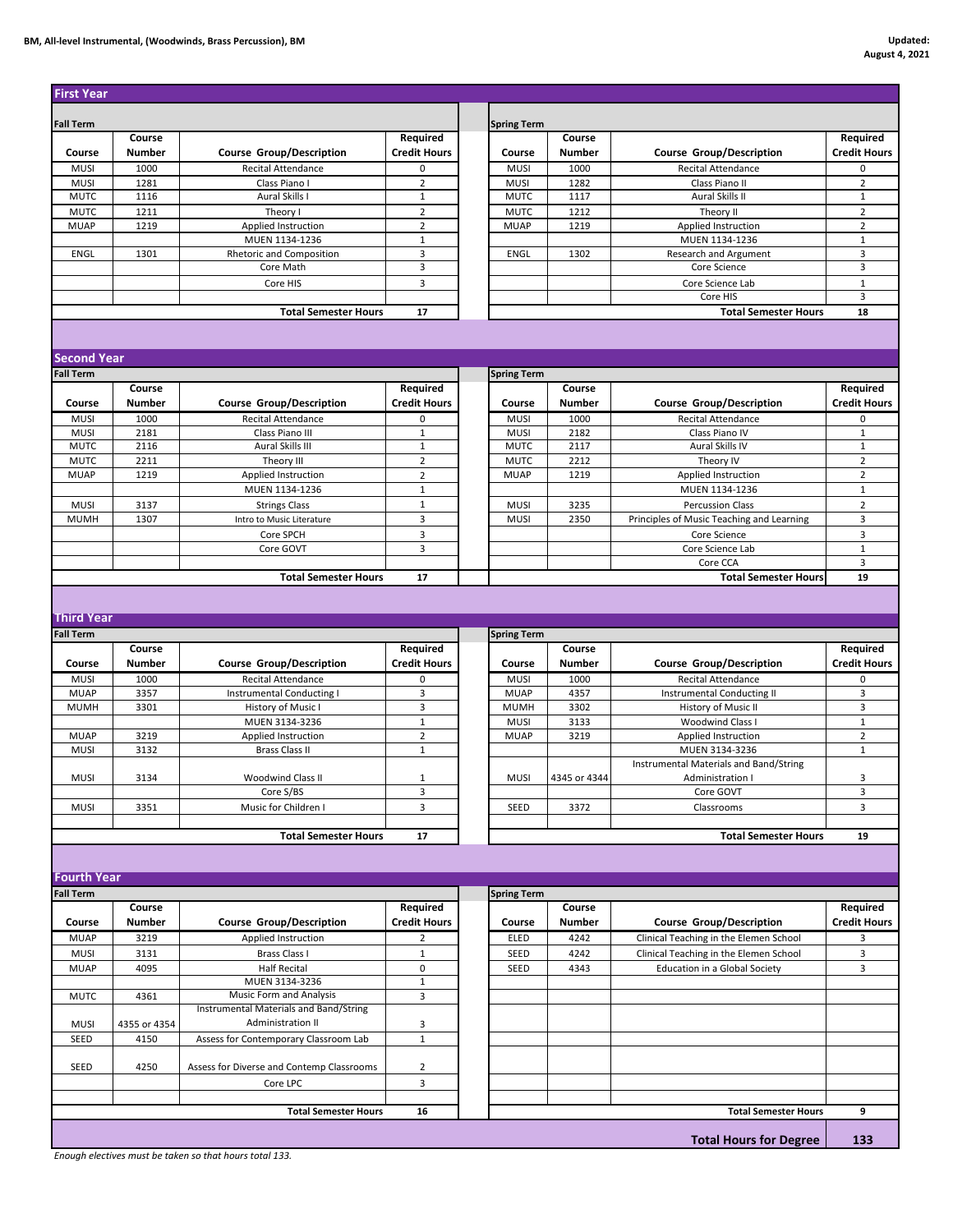## **BM, All-level Instrumental, (Woodwinds, Brass Percussion), BM Updated:**

| <b>First Year</b>          |               |                                           |                     |                     |               |                                           |                                  |
|----------------------------|---------------|-------------------------------------------|---------------------|---------------------|---------------|-------------------------------------------|----------------------------------|
|                            |               |                                           |                     |                     |               |                                           |                                  |
| <b>Fall Term</b>           | Course        |                                           | Required            | <b>Spring Term</b>  | Course        |                                           | Required                         |
|                            | <b>Number</b> |                                           |                     |                     | <b>Number</b> |                                           | <b>Credit Hours</b>              |
| Course                     |               | <b>Course Group/Description</b>           | <b>Credit Hours</b> | Course              |               | <b>Course Group/Description</b>           |                                  |
| <b>MUSI</b>                | 1000          | Recital Attendance                        | 0                   | <b>MUSI</b>         | 1000          | Recital Attendance                        | 0                                |
| <b>MUSI</b><br><b>MUTC</b> | 1281<br>1116  | Class Piano I<br>Aural Skills I           | 2<br>$\mathbf 1$    | MUSI<br><b>MUTC</b> | 1282<br>1117  | Class Piano II<br>Aural Skills II         | $\overline{2}$<br>$1\,$          |
|                            | 1211          |                                           | $\overline{2}$      | <b>MUTC</b>         | 1212          |                                           |                                  |
| <b>MUTC</b><br><b>MUAP</b> | 1219          | Theory I<br>Applied Instruction           | $\overline{2}$      | <b>MUAP</b>         | 1219          | Theory II<br>Applied Instruction          | $\overline{2}$<br>$\overline{2}$ |
|                            |               | MUEN 1134-1236                            | $\mathbf{1}$        |                     |               | MUEN 1134-1236                            | $\mathbf{1}$                     |
| ENGL                       | 1301          | Rhetoric and Composition                  | 3                   | ENGL                | 1302          |                                           | 3                                |
|                            |               |                                           | 3                   |                     |               | Research and Argument                     | 3                                |
|                            |               | Core Math                                 |                     |                     |               | Core Science                              |                                  |
|                            |               | Core HIS                                  | 3                   |                     |               | Core Science Lab                          | $1\,$                            |
|                            |               |                                           |                     |                     |               | Core HIS                                  | 3                                |
|                            |               | <b>Total Semester Hours</b>               | 17                  |                     |               | <b>Total Semester Hours</b>               | 18                               |
|                            |               |                                           |                     |                     |               |                                           |                                  |
|                            |               |                                           |                     |                     |               |                                           |                                  |
| <b>Second Year</b>         |               |                                           |                     |                     |               |                                           |                                  |
| <b>Fall Term</b>           |               |                                           |                     | <b>Spring Term</b>  |               |                                           |                                  |
|                            | Course        |                                           | Required            |                     | Course        |                                           | Required                         |
| Course                     | <b>Number</b> | <b>Course Group/Description</b>           | <b>Credit Hours</b> | Course              | <b>Number</b> | <b>Course Group/Description</b>           | <b>Credit Hours</b>              |
| <b>MUSI</b>                | 1000          | <b>Recital Attendance</b>                 | 0                   | <b>MUSI</b>         | 1000          | Recital Attendance                        | 0                                |
| <b>MUSI</b>                | 2181          | Class Piano III                           | $\mathbf 1$         | <b>MUSI</b>         | 2182          | Class Piano IV                            | $\,1\,$                          |
| <b>MUTC</b>                | 2116          | Aural Skills III                          | $1\,$               | <b>MUTC</b>         | 2117          | Aural Skills IV                           | $\mathbf{1}$                     |
| <b>MUTC</b>                | 2211          | Theory III                                | $\overline{2}$      | <b>MUTC</b>         | 2212          | Theory IV                                 | $\overline{2}$                   |
| <b>MUAP</b>                | 1219          | Applied Instruction                       | $\overline{2}$      | <b>MUAP</b>         | 1219          | Applied Instruction                       | $\overline{2}$                   |
|                            |               | MUEN 1134-1236                            | $\mathbf 1$         |                     |               | MUEN 1134-1236                            | $1\,$                            |
| <b>MUSI</b>                | 3137          | <b>Strings Class</b>                      | $\,1\,$             | <b>MUSI</b>         | 3235          | <b>Percussion Class</b>                   | $\overline{2}$                   |
| <b>MUMH</b>                | 1307          |                                           | 3                   | MUSI                | 2350          | Principles of Music Teaching and Learning | 3                                |
|                            |               | Intro to Music Literature                 |                     |                     |               |                                           |                                  |
|                            |               | Core SPCH                                 | 3                   |                     |               | Core Science                              | 3                                |
|                            |               | Core GOVT                                 | 3                   |                     |               | Core Science Lab                          | $1\,$                            |
|                            |               |                                           |                     |                     |               | Core CCA                                  | 3                                |
|                            |               | <b>Total Semester Hours</b>               | 17                  |                     |               | <b>Total Semester Hours</b>               | 19                               |
|                            |               |                                           |                     |                     |               |                                           |                                  |
| <b>Third Year</b>          |               |                                           |                     |                     |               |                                           |                                  |
|                            |               |                                           |                     |                     |               |                                           |                                  |
|                            |               |                                           |                     |                     |               |                                           |                                  |
| <b>Fall Term</b>           |               |                                           |                     | <b>Spring Term</b>  |               |                                           |                                  |
|                            | Course        |                                           | Required            |                     | Course        |                                           | Required                         |
| Course                     | <b>Number</b> | <b>Course Group/Description</b>           | <b>Credit Hours</b> | Course              | <b>Number</b> | <b>Course Group/Description</b>           | <b>Credit Hours</b>              |
| <b>MUSI</b>                | 1000          | <b>Recital Attendance</b>                 | 0                   | <b>MUSI</b>         | 1000          | <b>Recital Attendance</b>                 | 0                                |
| <b>MUAP</b>                | 3357          | Instrumental Conducting I                 | 3                   | <b>MUAP</b>         | 4357          | Instrumental Conducting II                | 3                                |
| <b>MUMH</b>                | 3301          | History of Music I                        | 3                   | <b>MUMH</b>         | 3302          | History of Music II                       | 3                                |
|                            |               | MUEN 3134-3236                            | $\mathbf 1$         | <b>MUSI</b>         | 3133          | Woodwind Class I                          | $\mathbf 1$                      |
| <b>MUAP</b>                | 3219          | Applied Instruction                       | $\overline{2}$      | <b>MUAP</b>         | 3219          | Applied Instruction                       | $\overline{2}$                   |
| <b>MUSI</b>                | 3132          | <b>Brass Class II</b>                     | $\mathbf 1$         |                     |               | MUEN 3134-3236                            | $\mathbf{1}$                     |
|                            |               |                                           |                     |                     |               | Instrumental Materials and Band/String    |                                  |
| <b>MUSI</b>                | 3134          | <b>Woodwind Class II</b>                  | $\mathbf 1$         | <b>MUSI</b>         | 4345 or 4344  | Administration I                          | 3                                |
|                            |               | Core S/BS                                 | 3                   |                     |               | Core GOVT                                 | 3                                |
| <b>MUSI</b>                | 3351          | Music for Children I                      | 3                   | SEED                | 3372          | Classrooms                                | 3                                |
|                            |               |                                           |                     |                     |               |                                           |                                  |
|                            |               | <b>Total Semester Hours</b>               | 17                  |                     |               | <b>Total Semester Hours</b>               | 19                               |
|                            |               |                                           |                     |                     |               |                                           |                                  |
|                            |               |                                           |                     |                     |               |                                           |                                  |
| <b>Fourth Year</b>         |               |                                           |                     |                     |               |                                           |                                  |
| <b>Fall Term</b>           |               |                                           |                     | <b>Spring Term</b>  |               |                                           |                                  |
|                            | Course        |                                           | Required            |                     | Course        |                                           | Required                         |
| Course                     | Number        | <b>Course Group/Description</b>           | <b>Credit Hours</b> | Course              | Number        | <b>Course Group/Description</b>           | <b>Credit Hours</b>              |
|                            |               |                                           |                     |                     |               |                                           |                                  |
| <b>MUAP</b>                | 3219          | Applied Instruction                       | 2                   | ELED                | 4242          | Clinical Teaching in the Elemen School    | 3                                |
| <b>MUSI</b>                | 3131          | Brass Class I                             | $\mathbf 1$         | SEED                | 4242          | Clinical Teaching in the Elemen School    | 3                                |
| <b>MUAP</b>                | 4095          | <b>Half Recital</b>                       | 0                   | SEED                | 4343          | Education in a Global Society             | 3                                |
|                            |               | MUEN 3134-3236                            | $\mathbf{1}$        |                     |               |                                           |                                  |
| <b>MUTC</b>                | 4361          | Music Form and Analysis                   | 3                   |                     |               |                                           |                                  |
|                            |               | Instrumental Materials and Band/String    |                     |                     |               |                                           |                                  |
| <b>MUSI</b>                | 4355 or 4354  | Administration II                         | 3                   |                     |               |                                           |                                  |
| SEED                       | 4150          | Assess for Contemporary Classroom Lab     | $\mathbf 1$         |                     |               |                                           |                                  |
|                            |               |                                           |                     |                     |               |                                           |                                  |
| SEED                       | 4250          | Assess for Diverse and Contemp Classrooms | 2                   |                     |               |                                           |                                  |
|                            |               | Core LPC                                  | 3                   |                     |               |                                           |                                  |
|                            |               |                                           |                     |                     |               |                                           |                                  |
|                            |               | <b>Total Semester Hours</b>               | 16                  |                     |               | <b>Total Semester Hours</b>               | 9                                |
|                            |               |                                           |                     |                     |               | <b>Total Hours for Degree</b>             | 133                              |

*Enough electives must be taken so that hours total 133.*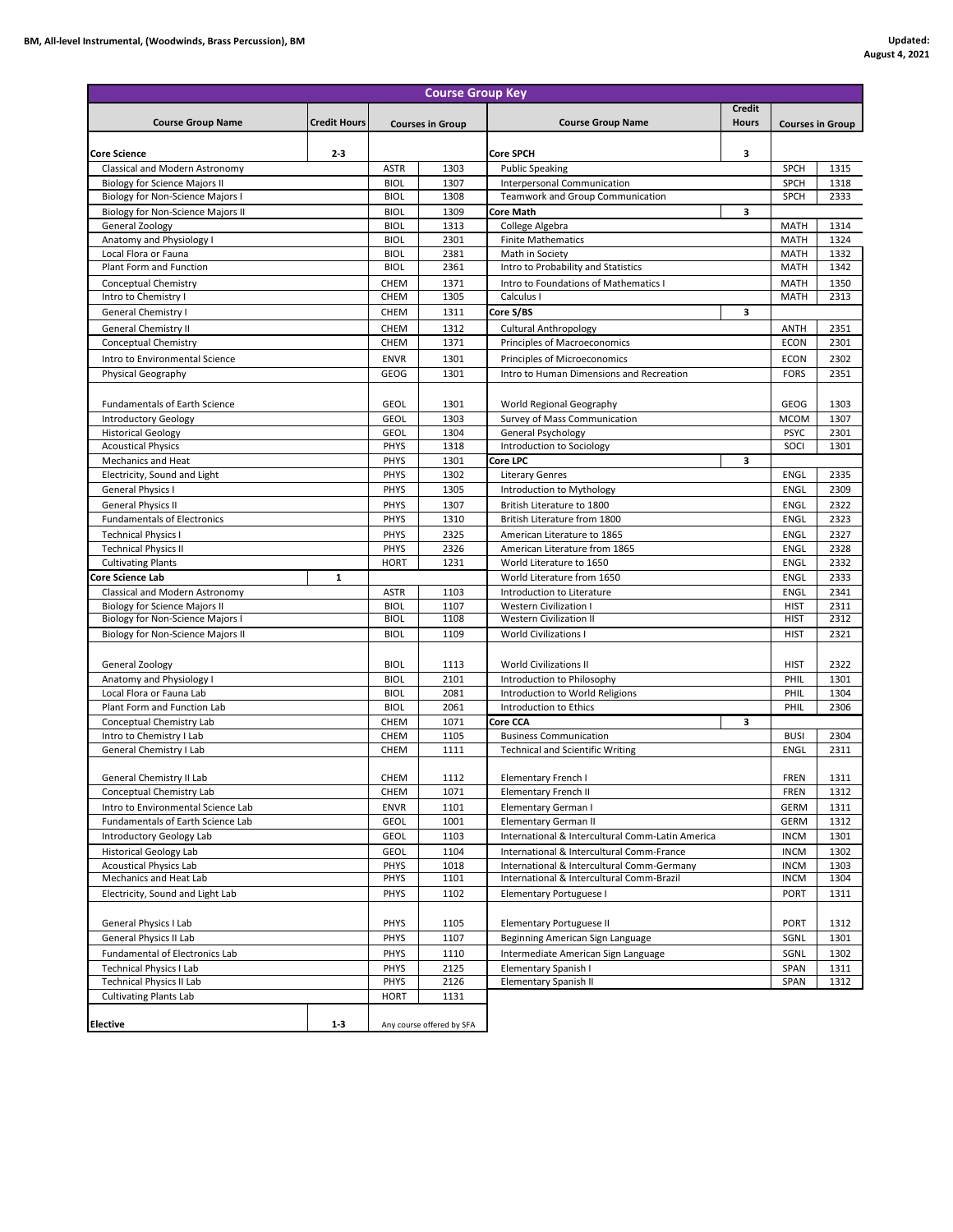| <b>Course Group Key</b>                                                  |                     |                            |                           |                                                             |                               |                            |                         |
|--------------------------------------------------------------------------|---------------------|----------------------------|---------------------------|-------------------------------------------------------------|-------------------------------|----------------------------|-------------------------|
|                                                                          | <b>Credit Hours</b> |                            |                           |                                                             | <b>Credit</b><br><b>Hours</b> |                            |                         |
| <b>Course Group Name</b>                                                 |                     |                            | <b>Courses in Group</b>   | <b>Course Group Name</b>                                    |                               |                            | <b>Courses in Group</b> |
| <b>Core Science</b>                                                      | $2 - 3$             |                            |                           | <b>Core SPCH</b>                                            | з                             |                            |                         |
| Classical and Modern Astronomy                                           |                     | <b>ASTR</b>                | 1303                      | <b>Public Speaking</b>                                      |                               | <b>SPCH</b>                | 1315                    |
| <b>Biology for Science Majors II</b>                                     |                     | <b>BIOL</b>                | 1307                      | Interpersonal Communication                                 |                               | SPCH                       | 1318                    |
| Biology for Non-Science Majors I                                         |                     | <b>BIOL</b>                | 1308                      | Teamwork and Group Communication                            |                               | <b>SPCH</b>                | 2333                    |
| Biology for Non-Science Majors II                                        |                     | <b>BIOL</b>                | 1309                      | <b>Core Math</b>                                            | з                             |                            |                         |
| General Zoology                                                          |                     | <b>BIOL</b>                | 1313                      | College Algebra                                             |                               | <b>MATH</b>                | 1314                    |
| Anatomy and Physiology I                                                 |                     | <b>BIOL</b>                | 2301                      | <b>Finite Mathematics</b>                                   |                               | <b>MATH</b>                | 1324                    |
| Local Flora or Fauna                                                     |                     | <b>BIOL</b>                | 2381                      | Math in Society                                             |                               | <b>MATH</b>                | 1332                    |
| Plant Form and Function                                                  |                     | <b>BIOL</b>                | 2361                      | Intro to Probability and Statistics                         |                               | <b>MATH</b>                | 1342                    |
| Conceptual Chemistry                                                     |                     | CHEM                       | 1371                      | Intro to Foundations of Mathematics I                       |                               | MATH                       | 1350                    |
| Intro to Chemistry I                                                     |                     | CHEM                       | 1305                      | Calculus I                                                  |                               | <b>MATH</b>                | 2313                    |
| General Chemistry I                                                      |                     | CHEM                       | 1311                      | Core S/BS                                                   | 3                             |                            |                         |
| <b>General Chemistry II</b>                                              |                     | CHEM                       | 1312                      | <b>Cultural Anthropology</b>                                |                               | <b>ANTH</b>                | 2351                    |
| Conceptual Chemistry                                                     |                     | CHEM                       | 1371                      | Principles of Macroeconomics                                |                               | <b>ECON</b>                | 2301                    |
| Intro to Environmental Science                                           |                     | <b>ENVR</b>                | 1301                      | Principles of Microeconomics                                |                               | ECON                       | 2302                    |
| Physical Geography                                                       |                     | GEOG                       | 1301                      | Intro to Human Dimensions and Recreation                    |                               | <b>FORS</b>                | 2351                    |
|                                                                          |                     |                            |                           |                                                             |                               |                            |                         |
|                                                                          |                     | <b>GEOL</b>                | 1301                      |                                                             |                               |                            | 1303                    |
| <b>Fundamentals of Earth Science</b>                                     |                     |                            |                           | World Regional Geography                                    |                               | GEOG                       |                         |
| Introductory Geology<br><b>Historical Geology</b>                        |                     | <b>GEOL</b>                | 1303                      | Survey of Mass Communication                                |                               | <b>MCOM</b><br><b>PSYC</b> | 1307                    |
| <b>Acoustical Physics</b>                                                |                     | <b>GEOL</b><br>PHYS        | 1304<br>1318              | General Psychology<br>Introduction to Sociology             |                               | SOCI                       | 2301<br>1301            |
| <b>Mechanics and Heat</b>                                                |                     | PHYS                       | 1301                      | Core LPC                                                    | з                             |                            |                         |
| Electricity, Sound and Light                                             |                     | PHYS                       | 1302                      | <b>Literary Genres</b>                                      |                               | <b>ENGL</b>                | 2335                    |
| <b>General Physics I</b>                                                 |                     | PHYS                       | 1305                      | Introduction to Mythology                                   |                               | ENGL                       | 2309                    |
|                                                                          |                     | PHYS                       | 1307                      |                                                             |                               | <b>ENGL</b>                |                         |
| <b>General Physics II</b><br><b>Fundamentals of Electronics</b>          |                     | PHYS                       | 1310                      | British Literature to 1800<br>British Literature from 1800  |                               | <b>ENGL</b>                | 2322<br>2323            |
|                                                                          |                     |                            |                           |                                                             |                               |                            |                         |
| <b>Technical Physics I</b>                                               |                     | PHYS<br>PHYS               | 2325<br>2326              | American Literature to 1865                                 |                               | <b>ENGL</b><br><b>ENGL</b> | 2327<br>2328            |
| <b>Technical Physics II</b><br><b>Cultivating Plants</b>                 |                     | <b>HORT</b>                | 1231                      | American Literature from 1865<br>World Literature to 1650   |                               | <b>ENGL</b>                | 2332                    |
| Core Science Lab                                                         | $\mathbf{1}$        |                            |                           | World Literature from 1650                                  |                               | <b>ENGL</b>                | 2333                    |
|                                                                          |                     |                            |                           |                                                             |                               |                            | 2341                    |
| Classical and Modern Astronomy                                           |                     | <b>ASTR</b><br><b>BIOL</b> | 1103<br>1107              | Introduction to Literature<br><b>Western Civilization I</b> |                               | <b>ENGL</b><br><b>HIST</b> | 2311                    |
| <b>Biology for Science Majors II</b><br>Biology for Non-Science Majors I |                     | <b>BIOL</b>                | 1108                      | <b>Western Civilization II</b>                              |                               | <b>HIST</b>                | 2312                    |
| Biology for Non-Science Majors II                                        |                     | <b>BIOL</b>                | 1109                      | <b>World Civilizations I</b>                                |                               | <b>HIST</b>                | 2321                    |
|                                                                          |                     |                            |                           |                                                             |                               |                            |                         |
|                                                                          |                     | <b>BIOL</b>                | 1113                      | <b>World Civilizations II</b>                               |                               | <b>HIST</b>                | 2322                    |
| General Zoology                                                          |                     | <b>BIOL</b>                | 2101                      | Introduction to Philosophy                                  |                               | PHIL                       | 1301                    |
| Anatomy and Physiology I<br>Local Flora or Fauna Lab                     |                     | <b>BIOL</b>                | 2081                      | Introduction to World Religions                             |                               | PHIL                       | 1304                    |
| Plant Form and Function Lab                                              |                     | <b>BIOL</b>                | 2061                      | Introduction to Ethics                                      |                               | PHIL                       | 2306                    |
| Conceptual Chemistry Lab                                                 |                     | CHEM                       | 1071                      | Core CCA                                                    | 3                             |                            |                         |
| Intro to Chemistry I Lab                                                 |                     | CHEM                       | 1105                      | <b>Business Communication</b>                               |                               | <b>BUSI</b>                | 2304                    |
| General Chemistry I Lab                                                  |                     | CHEM                       | 1111                      | <b>Technical and Scientific Writing</b>                     |                               | ENGL                       | 2311                    |
|                                                                          |                     |                            |                           |                                                             |                               |                            |                         |
| General Chemistry II Lab                                                 |                     | CHEM                       | 1112                      | Elementary French I                                         |                               | <b>FREN</b>                | 1311                    |
| Conceptual Chemistry Lab                                                 |                     | CHEM                       | 1071                      | Elementary French II                                        |                               | FREN                       | 1312                    |
| Intro to Environmental Science Lab                                       |                     | <b>ENVR</b>                | 1101                      | Elementary German I                                         |                               | <b>GERM</b>                | 1311                    |
| Fundamentals of Earth Science Lab                                        |                     | <b>GEOL</b>                | 1001                      | Elementary German II                                        |                               | <b>GERM</b>                | 1312                    |
| Introductory Geology Lab                                                 |                     | GEOL                       | 1103                      | International & Intercultural Comm-Latin America            |                               | <b>INCM</b>                | 1301                    |
| <b>Historical Geology Lab</b>                                            |                     | GEOL                       | 1104                      | International & Intercultural Comm-France                   |                               | <b>INCM</b>                | 1302                    |
| <b>Acoustical Physics Lab</b>                                            |                     | PHYS                       | 1018                      | International & Intercultural Comm-Germany                  |                               | <b>INCM</b>                | 1303                    |
| Mechanics and Heat Lab                                                   |                     | PHYS                       | 1101                      | International & Intercultural Comm-Brazil                   |                               | <b>INCM</b>                | 1304                    |
| Electricity, Sound and Light Lab                                         |                     | PHYS                       | 1102                      | Elementary Portuguese I                                     |                               | <b>PORT</b>                | 1311                    |
|                                                                          |                     |                            |                           |                                                             |                               |                            |                         |
| General Physics I Lab                                                    |                     | PHYS                       | 1105                      | Elementary Portuguese II                                    |                               | <b>PORT</b>                | 1312                    |
| General Physics II Lab                                                   |                     | PHYS                       | 1107                      | Beginning American Sign Language                            |                               | SGNL                       | 1301                    |
| Fundamental of Electronics Lab                                           |                     | PHYS                       | 1110                      | Intermediate American Sign Language                         |                               | SGNL                       | 1302                    |
| <b>Technical Physics I Lab</b>                                           |                     | PHYS                       | 2125                      | Elementary Spanish I                                        |                               | SPAN                       | 1311                    |
| <b>Technical Physics II Lab</b>                                          |                     | PHYS                       | 2126                      | Elementary Spanish II                                       |                               | SPAN                       | 1312                    |
| <b>Cultivating Plants Lab</b>                                            |                     | <b>HORT</b>                | 1131                      |                                                             |                               |                            |                         |
|                                                                          |                     |                            |                           |                                                             |                               |                            |                         |
| <b>Elective</b>                                                          | $1 - 3$             |                            | Any course offered by SFA |                                                             |                               |                            |                         |
|                                                                          |                     |                            |                           |                                                             |                               |                            |                         |